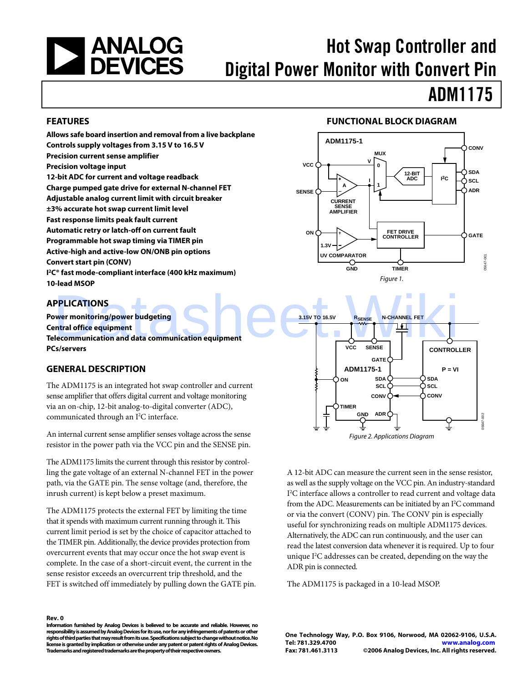<span id="page-0-0"></span>

# Hot Swap Controller and Digital Power Monitor with Convert Pin

# ADM1175

#### **FEATURES**

**Allows safe board insertion and removal from a live backplane Controls supply voltages from 3.15 V to 16.5 V Precision current sense amplifier Precision voltage input 12-bit ADC for current and voltage readback Charge pumped gate drive for external N-channel FET Adjustable analog current limit with circuit breaker ±3% accurate hot swap current limit level Fast response limits peak fault current Automatic retry or latch-off on current fault Programmable hot swap timing via TIMER pin Active-high and active-low ON/ONB pin options Convert start pin (CONV) I 2C® fast mode-compliant interface (400 kHz maximum) 10-lead MSOP** 

### **APPLICATIONS**

**Power monitoring/power budgeting Central office equipment Telecommunication and data communication equipment PCs/servers** 

### **GENERAL DESCRIPTION**

The ADM1175 is an integrated hot swap controller and current sense amplifier that offers digital current and voltage monitoring via an on-chip, 12-bit analog-to-digital converter (ADC), communicated through an I<sup>2</sup>C interface.

An internal current sense amplifier senses voltage across the sense resistor in the power path via the VCC pin and the SENSE pin.

The ADM1175 limits the current through this resistor by controlling the gate voltage of an external N-channel FET in the power path, via the GATE pin. The sense voltage (and, therefore, the inrush current) is kept below a preset maximum.

The ADM1175 protects the external FET by limiting the time that it spends with maximum current running through it. This current limit period is set by the choice of capacitor attached to the TIMER pin. Additionally, the device provides protection from overcurrent events that may occur once the hot swap event is complete. In the case of a short-circuit event, the current in the sense resistor exceeds an overcurrent trip threshold, and the FET is switched off immediately by pulling down the GATE pin.

#### **Rev. 0**

**Information furnished by Analog Devices is believed to be accurate and reliable. However, no responsibility is assumed by Analog Devices for its use, nor for any infringements of patents or other rights of third parties that may result from its use. Specifications subject to change without notice. No license is granted by implication or otherwise under any patent or patent rights of Analog Devices. Trademarks and registered trademarks are the property of their respective owners.** 

#### **FUNCTIONAL BLOCK DIAGRAM**





A 12-bit ADC can measure the current seen in the sense resistor, as well as the supply voltage on the VCC pin. An industry-standard I<sup>2</sup>C interface allows a controller to read current and voltage data from the ADC. Measurements can be initiated by an I<sup>2</sup>C command or via the convert (CONV) pin. The CONV pin is especially useful for synchronizing reads on multiple ADM1175 devices. Alternatively, the ADC can run continuously, and the user can read the latest conversion data whenever it is required. Up to four unique  $I<sup>2</sup>C$  addresses can be created, depending on the way the ADR pin is connected.

The ADM1175 is packaged in a 10-lead MSOP.

**One Technology Way, P.O. Box 9106, Norwood, MA 02062-9106, U.S.A. Tel: 781.329.4700 www.analog.com Fax: 781.461.3113 ©2006 Analog Devices, Inc. All rights reserved.**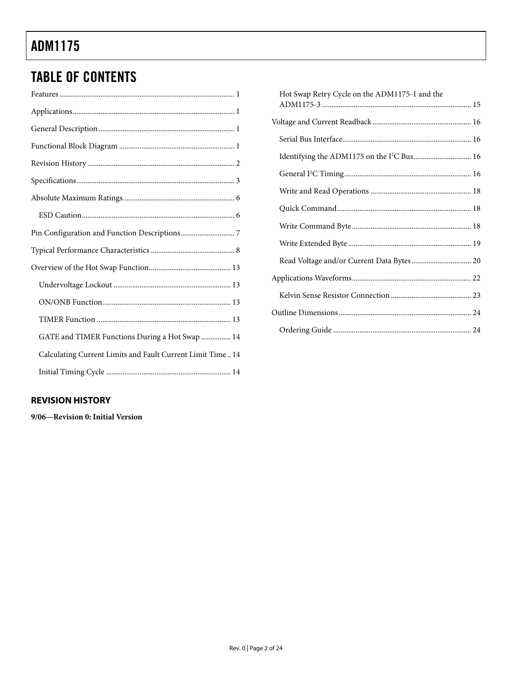# <span id="page-1-0"></span>TABLE OF CONTENTS

| GATE and TIMER Functions During a Hot Swap  14             |
|------------------------------------------------------------|
| Calculating Current Limits and Fault Current Limit Time 14 |
|                                                            |

| Hot Swap Retry Cycle on the ADM1175-1 and the |
|-----------------------------------------------|
|                                               |
|                                               |
|                                               |
|                                               |
|                                               |
|                                               |
|                                               |
|                                               |
|                                               |
| Read Voltage and/or Current Data Bytes 20     |
|                                               |
|                                               |
|                                               |
|                                               |

### **REVISION HISTORY**

**9/06—Revision 0: Initial Version**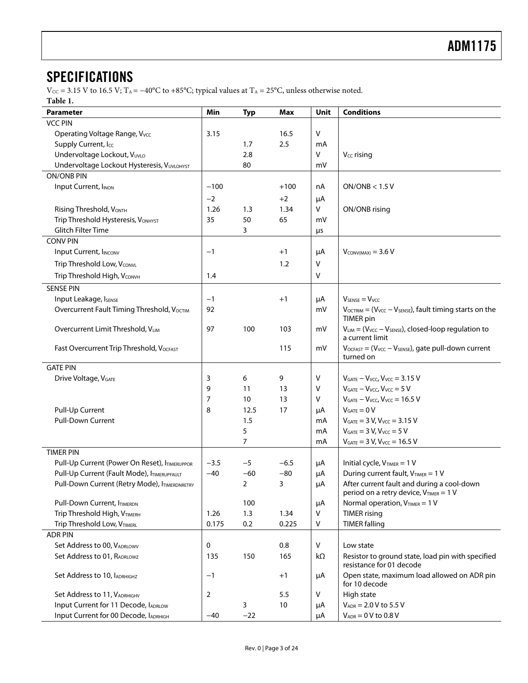# <span id="page-2-0"></span>**SPECIFICATIONS**

 $V_{\text{CC}}$  = 3.15 V to 16.5 V; T<sub>A</sub> = −40°C to +85°C; typical values at T<sub>A</sub> = 25°C, unless otherwise noted. **Table 1.** 

| ravit 1.                                      |        |                |        |              |                                                                                        |
|-----------------------------------------------|--------|----------------|--------|--------------|----------------------------------------------------------------------------------------|
| Parameter                                     | Min    | <b>Typ</b>     | Max    | Unit         | <b>Conditions</b>                                                                      |
| <b>VCC PIN</b>                                |        |                |        |              |                                                                                        |
| Operating Voltage Range, Vvcc                 | 3.15   |                | 16.5   | $\mathsf{V}$ |                                                                                        |
| Supply Current, Icc                           |        | 1.7            | 2.5    | mA           |                                                                                        |
| Undervoltage Lockout, VUVLO                   |        | 2.8            |        | V            | V <sub>cc</sub> rising                                                                 |
| Undervoltage Lockout Hysteresis, VUVLOHYST    |        | 80             |        | mV           |                                                                                        |
| <b>ON/ONB PIN</b>                             |        |                |        |              |                                                                                        |
| Input Current, INON                           | $-100$ |                | $+100$ | nA           | ON/ONB < 1.5 V                                                                         |
|                                               |        |                |        |              |                                                                                        |
|                                               | $-2$   |                | $+2$   | μA           |                                                                                        |
| Rising Threshold, VONTH                       | 1.26   | 1.3            | 1.34   | V            | ON/ONB rising                                                                          |
| Trip Threshold Hysteresis, VONHYST            | 35     | 50             | 65     | mV           |                                                                                        |
| Glitch Filter Time                            |        | 3              |        | μs           |                                                                                        |
| <b>CONV PIN</b>                               |        |                |        |              |                                                                                        |
| Input Current, IINCONV                        | $-1$   |                | $+1$   | μA           | $V_{CONV(MAX)} = 3.6 V$                                                                |
| Trip Threshold Low, VCONVL                    |        |                | 1.2    | v            |                                                                                        |
| Trip Threshold High, VCONVH                   | 1.4    |                |        | v            |                                                                                        |
| <b>SENSE PIN</b>                              |        |                |        |              |                                                                                        |
| Input Leakage, ISENSE                         | $-1$   |                | $+1$   | μA           | $V_{\text{SENSE}} = V_{\text{VCC}}$                                                    |
| Overcurrent Fault Timing Threshold, VocTIM    | 92     |                |        | mV           | $V_{\text{OCTRIM}} = (V_{\text{VCC}} - V_{\text{SENSE}})$ , fault timing starts on the |
|                                               |        |                |        |              | <b>TIMER</b> pin                                                                       |
| Overcurrent Limit Threshold, VLIM             | 97     | 100            | 103    | mV           | $V_{LIM} = (V_{VCC} - V_{SENSE})$ , closed-loop regulation to<br>a current limit       |
| Fast Overcurrent Trip Threshold, VOCFAST      |        |                | 115    | mV           | $V_{OCFAST} = (V_{VCC} - V_{SENSE})$ , gate pull-down current<br>turned on             |
|                                               |        |                |        |              |                                                                                        |
| <b>GATE PIN</b>                               |        |                |        |              |                                                                                        |
| Drive Voltage, V <sub>GATE</sub>              | 3      | 6              | 9      | v            | $V_{GATE} - V_{VCC}$ , $V_{VCC} = 3.15$ V                                              |
|                                               | 9      | 11             | 13     | ۷            | $V_{GATE} - V_{VCC}$ , $V_{VCC} = 5 V$                                                 |
|                                               | 7      | 10             | 13     | $\vee$       | $V_{GATE} - V_{VCC}$ , $V_{VCC} = 16.5$ V                                              |
| Pull-Up Current                               |        | 12.5           | 17     | μA           | $V_{GATE} = 0 V$                                                                       |
| <b>Pull-Down Current</b>                      |        | 1.5            |        | mA           | $V_{GATE} = 3 V, V_{VCC} = 3.15 V$                                                     |
|                                               |        | 5              |        | mA           | $V_{GATE} = 3 V, V_{VCC} = 5 V$                                                        |
|                                               |        | $\overline{7}$ |        | mA           | $V_{GATE} = 3 V, V_{VCC} = 16.5 V$                                                     |
| <b>TIMER PIN</b>                              |        |                |        |              |                                                                                        |
| Pull-Up Current (Power On Reset), ITIMERUPPOR | $-3.5$ | $-5$           | $-6.5$ | μA           | Initial cycle, $V_{TIMER} = 1 V$                                                       |
| Pull-Up Current (Fault Mode), ITIMERUPFAULT   | $-40$  | $-60$          | $-80$  | μA           | During current fault, VTIMER = 1 V                                                     |
| Pull-Down Current (Retry Mode), ITIMERDNRETRY |        | $\overline{2}$ | 3      | μA           | After current fault and during a cool-down                                             |
|                                               |        |                |        |              | period on a retry device, VTIMER = 1 V                                                 |
| Pull-Down Current, ITIMERDN                   |        | 100            |        | μA           | Normal operation, $V_{TIMER} = 1 V$                                                    |
| Trip Threshold High, VTIMERH                  | 1.26   | 1.3            | 1.34   | $\mathsf{V}$ | <b>TIMER</b> rising                                                                    |
| Trip Threshold Low, VTIMERL                   | 0.175  | 0.2            | 0.225  | V            | <b>TIMER falling</b>                                                                   |
| <b>ADR PIN</b>                                |        |                |        |              |                                                                                        |
| Set Address to 00, VADRLOWV                   | 0      |                | 0.8    | $\sf V$      | Low state                                                                              |
| Set Address to 01, RADRLOWZ                   | 135    | 150            | 165    | $k\Omega$    | Resistor to ground state, load pin with specified                                      |
|                                               |        |                |        |              | resistance for 01 decode                                                               |
| Set Address to 10, IADRHIGHZ                  | $-1$   |                | $+1$   | μA           | Open state, maximum load allowed on ADR pin<br>for 10 decode                           |
| Set Address to 11, VADRHIGHV                  | 2      |                | 5.5    | V            | High state                                                                             |
| Input Current for 11 Decode, IADRLOW          |        | 3              | 10     | μA           | $V_{ADR} = 2.0 V$ to 5.5 V                                                             |
| Input Current for 00 Decode, IADRHIGH         | -40    | $-22$          |        | μA           | $V_{ADR} = 0 V$ to 0.8 V                                                               |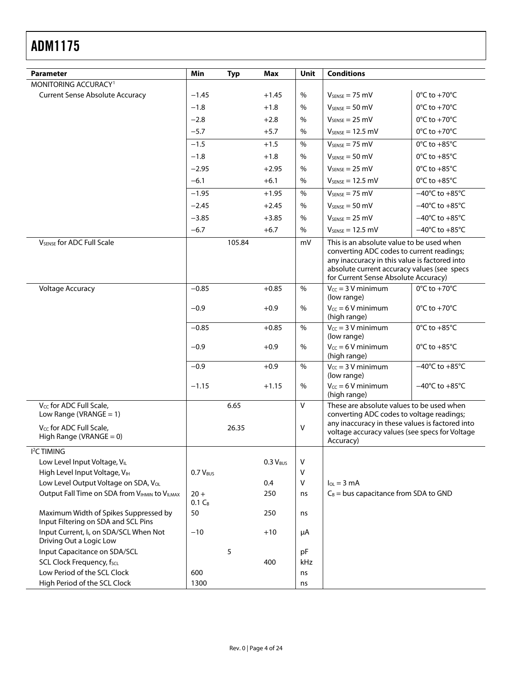| <b>Parameter</b>                                                                               | Min                 | <b>Typ</b> | <b>Max</b>    | <b>Unit</b>   | <b>Conditions</b>                                                                                                                                                                                                              |                                    |
|------------------------------------------------------------------------------------------------|---------------------|------------|---------------|---------------|--------------------------------------------------------------------------------------------------------------------------------------------------------------------------------------------------------------------------------|------------------------------------|
| MONITORING ACCURACY <sup>1</sup>                                                               |                     |            |               |               |                                                                                                                                                                                                                                |                                    |
| <b>Current Sense Absolute Accuracy</b>                                                         | $-1.45$             |            | $+1.45$       | %             | $V_{SENSE} = 75$ mV                                                                                                                                                                                                            | $0^{\circ}$ C to +70 $^{\circ}$ C  |
|                                                                                                | $-1.8$              |            | $+1.8$        | $\%$          | $V_{SPNSF} = 50$ mV                                                                                                                                                                                                            | $0^{\circ}$ C to +70 $^{\circ}$ C  |
|                                                                                                | $-2.8$              |            | $+2.8$        | $\frac{0}{0}$ | $V_{SENSE} = 25$ mV                                                                                                                                                                                                            | $0^{\circ}$ C to +70 $^{\circ}$ C  |
|                                                                                                | $-5.7$              |            | $+5.7$        | $\%$          | $V_{SENSE} = 12.5$ mV                                                                                                                                                                                                          | $0^{\circ}$ C to +70 $^{\circ}$ C  |
|                                                                                                | $-1.5$              |            | $+1.5$        | $\%$          | $V_{SENSE} = 75$ mV                                                                                                                                                                                                            | $0^{\circ}$ C to +85 $^{\circ}$ C  |
|                                                                                                | $-1.8$              |            | $+1.8$        | %             | $V_{SENSE} = 50$ mV                                                                                                                                                                                                            | $0^{\circ}$ C to +85 $^{\circ}$ C  |
|                                                                                                | $-2.95$             |            | $+2.95$       | $\%$          | $V_{SENSE} = 25$ mV                                                                                                                                                                                                            | $0^{\circ}$ C to +85 $^{\circ}$ C  |
|                                                                                                | $-6.1$              |            | $+6.1$        | $\%$          | $V_{SENSE} = 12.5$ mV                                                                                                                                                                                                          | $0^{\circ}$ C to +85 $^{\circ}$ C  |
|                                                                                                | $-1.95$             |            | $+1.95$       | %             | $V_{SENSE} = 75$ mV                                                                                                                                                                                                            | $-40^{\circ}$ C to $+85^{\circ}$ C |
|                                                                                                | $-2.45$             |            | $+2.45$       | $\%$          | $V_{SENSE} = 50$ mV                                                                                                                                                                                                            | $-40^{\circ}$ C to $+85^{\circ}$ C |
|                                                                                                | $-3.85$             |            | $+3.85$       | %             | $V_{SENSE} = 25$ mV                                                                                                                                                                                                            | $-40^{\circ}$ C to $+85^{\circ}$ C |
|                                                                                                | $-6.7$              |            | $+6.7$        | $\%$          | $V_{SENSE} = 12.5$ mV                                                                                                                                                                                                          | $-40^{\circ}$ C to $+85^{\circ}$ C |
| <b>V<sub>SENSE</sub></b> for ADC Full Scale                                                    |                     | 105.84     |               | mV            | This is an absolute value to be used when<br>converting ADC codes to current readings;<br>any inaccuracy in this value is factored into<br>absolute current accuracy values (see specs<br>for Current Sense Absolute Accuracy) |                                    |
| Voltage Accuracy                                                                               | $-0.85$             |            | $+0.85$       | $\%$          | $V_{cc}$ = 3 V minimum<br>(low range)                                                                                                                                                                                          | $0^{\circ}$ C to +70 $^{\circ}$ C  |
|                                                                                                | $-0.9$              |            | $+0.9$        | %             | $V_{CC} = 6 V$ minimum<br>(high range)                                                                                                                                                                                         | $0^{\circ}$ C to +70 $^{\circ}$ C  |
|                                                                                                | $-0.85$             |            | $+0.85$       | $\%$          | $V_{CC} = 3 V$ minimum<br>(low range)                                                                                                                                                                                          | $0^{\circ}$ C to +85 $^{\circ}$ C  |
|                                                                                                | $-0.9$              |            | $+0.9$        | %             | $V_{CC} = 6 V$ minimum<br>(high range)                                                                                                                                                                                         | $0^{\circ}$ C to +85 $^{\circ}$ C  |
|                                                                                                | $-0.9$              |            | $+0.9$        | $\%$          | $V_{CC} = 3 V$ minimum<br>(low range)                                                                                                                                                                                          | $-40^{\circ}$ C to $+85^{\circ}$ C |
|                                                                                                | $-1.15$             |            | $+1.15$       | %             | $V_{CC} = 6 V$ minimum<br>(high range)                                                                                                                                                                                         | $-40^{\circ}$ C to $+85^{\circ}$ C |
| V <sub>CC</sub> for ADC Full Scale,                                                            |                     | 6.65       |               | V             | These are absolute values to be used when                                                                                                                                                                                      |                                    |
| Low Range (VRANGE = $1$ )<br>V <sub>CC</sub> for ADC Full Scale,<br>High Range (VRANGE $= 0$ ) |                     | 26.35      |               | V             | converting ADC codes to voltage readings;<br>any inaccuracy in these values is factored into<br>voltage accuracy values (see specs for Voltage<br>Accuracy)                                                                    |                                    |
| <b>I<sup>2</sup>C TIMING</b>                                                                   |                     |            |               |               |                                                                                                                                                                                                                                |                                    |
| Low Level Input Voltage, VIL                                                                   |                     |            | $0.3 V_{BUS}$ | v             |                                                                                                                                                                                                                                |                                    |
| High Level Input Voltage, VIH                                                                  | $0.7 V_{BUS}$       |            |               | $\vee$        |                                                                                                                                                                                                                                |                                    |
| Low Level Output Voltage on SDA, V <sub>OL</sub>                                               |                     |            | 0.4           | $\vee$        | $I_{OL} = 3 \text{ mA}$                                                                                                                                                                                                        |                                    |
| Output Fall Time on SDA from VIHMIN to VILMAX                                                  | $20 +$<br>$0.1 C_B$ |            | 250           | ns            | $C_B$ = bus capacitance from SDA to GND                                                                                                                                                                                        |                                    |
| Maximum Width of Spikes Suppressed by<br>Input Filtering on SDA and SCL Pins                   | 50                  |            | 250           | ns            |                                                                                                                                                                                                                                |                                    |
| Input Current, I <sub>I</sub> , on SDA/SCL When Not<br>Driving Out a Logic Low                 | $-10$               |            | $+10$         | μA            |                                                                                                                                                                                                                                |                                    |
| Input Capacitance on SDA/SCL                                                                   |                     | 5          |               | pF            |                                                                                                                                                                                                                                |                                    |
| SCL Clock Frequency, fscL                                                                      |                     |            | 400           | kHz           |                                                                                                                                                                                                                                |                                    |
| Low Period of the SCL Clock                                                                    | 600                 |            |               | ns            |                                                                                                                                                                                                                                |                                    |
| High Period of the SCL Clock                                                                   | 1300                |            |               | ns            |                                                                                                                                                                                                                                |                                    |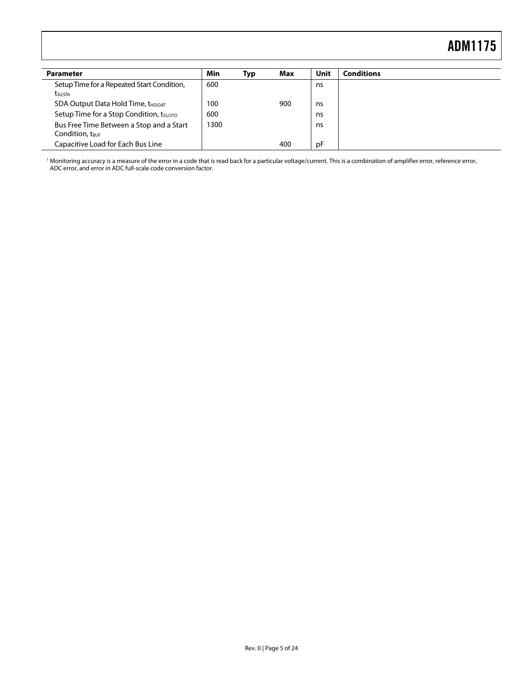<span id="page-4-0"></span>

| <b>Parameter</b>                                                        | Min  | Typ | Max | Unit | <b>Conditions</b> |
|-------------------------------------------------------------------------|------|-----|-----|------|-------------------|
| Setup Time for a Repeated Start Condition,                              | 600  |     |     | ns   |                   |
| t <sub>su:Sta</sub>                                                     |      |     |     |      |                   |
| SDA Output Data Hold Time, t <sub>HD:DAT</sub>                          | 100  |     | 900 | ns   |                   |
| Setup Time for a Stop Condition, tsu;sto                                | 600  |     |     | ns   |                   |
| Bus Free Time Between a Stop and a Start<br>Condition, t <sub>BUF</sub> | 1300 |     |     | ns   |                   |
| Capacitive Load for Each Bus Line                                       |      |     | 400 | рF   |                   |

1 Monitoring accuracy is a measure of the error in a code that is read back for a particular voltage/current. This is a combination of amplifier error, reference error, ADC error, and error in ADC full-scale code conversion factor.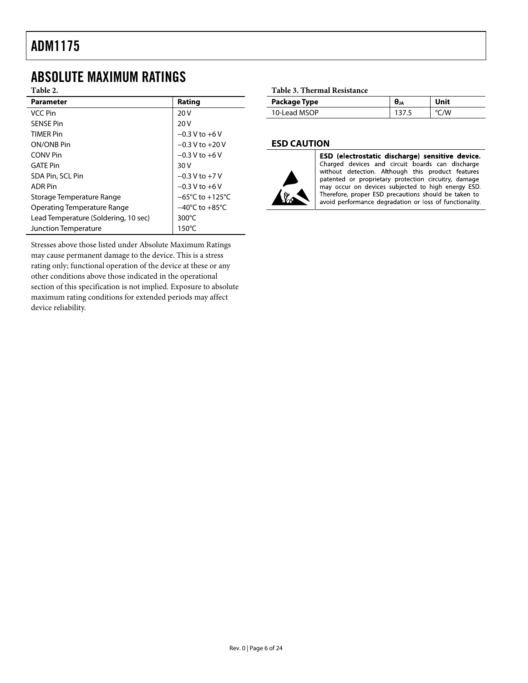## <span id="page-5-0"></span>ABSOLUTE MAXIMUM RATINGS

**Table 2.** 

| <b>Parameter</b>                     | Rating                              |
|--------------------------------------|-------------------------------------|
| VCC Pin                              | 20V                                 |
| <b>SENSE Pin</b>                     | 20V                                 |
| <b>TIMFR Pin</b>                     | $-0.3$ V to $+6$ V                  |
| ON/ONB Pin                           | $-0.3$ V to $+20$ V                 |
| <b>CONV</b> Pin                      | $-0.3 V$ to $+6 V$                  |
| <b>GATF Pin</b>                      | 30V                                 |
| SDA Pin, SCL Pin                     | $-0.3$ V to $+7$ V                  |
| <b>ADR Pin</b>                       | $-0.3$ V to $+6$ V                  |
| Storage Temperature Range            | $-65^{\circ}$ C to $+125^{\circ}$ C |
| Operating Temperature Range          | $-40^{\circ}$ C to $+85^{\circ}$ C  |
| Lead Temperature (Soldering, 10 sec) | $300^{\circ}$ C                     |
| Junction Temperature                 | $150^{\circ}$ C                     |

Stresses above those listed under Absolute Maximum Ratings may cause permanent damage to the device. This is a stress rating only; functional operation of the device at these or any other conditions above those indicated in the operational section of this specification is not implied. Exposure to absolute maximum rating conditions for extended periods may affect device reliability.

#### **Table 3. Thermal Resistance**

| Package Type | UJA | Unit |
|--------------|-----|------|
| 10-Lead MSOP |     | °C/W |

#### **ESD CAUTION**



ESD (electrostatic discharge) sensitive device. Charged devices and circuit boards can discharge without detection. Although this product features patented or proprietary protection circuitry, damage may occur on devices subjected to high energy ESD. Therefore, proper ESD precautions should be taken to avoid performance degradation or loss of functionality.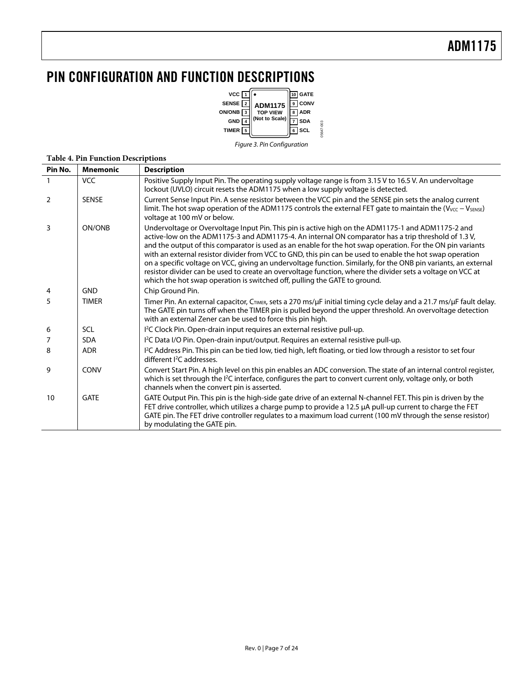# <span id="page-6-0"></span>PIN CONFIGURATION AND FUNCTION DESCRIPTIONS



Figure 3. Pin Configuration

05647-003

#### **Table 4. Pin Function Descriptions**

| Pin No.        | <b>Mnemonic</b> | <b>Description</b>                                                                                                                                                                                                                                                                                                                                                                                                                                                                                                                                                                                                                                                                                                                               |
|----------------|-----------------|--------------------------------------------------------------------------------------------------------------------------------------------------------------------------------------------------------------------------------------------------------------------------------------------------------------------------------------------------------------------------------------------------------------------------------------------------------------------------------------------------------------------------------------------------------------------------------------------------------------------------------------------------------------------------------------------------------------------------------------------------|
|                | <b>VCC</b>      | Positive Supply Input Pin. The operating supply voltage range is from 3.15 V to 16.5 V. An undervoltage<br>lockout (UVLO) circuit resets the ADM1175 when a low supply voltage is detected.                                                                                                                                                                                                                                                                                                                                                                                                                                                                                                                                                      |
| $\overline{2}$ | <b>SENSE</b>    | Current Sense Input Pin. A sense resistor between the VCC pin and the SENSE pin sets the analog current<br>limit. The hot swap operation of the ADM1175 controls the external FET gate to maintain the $(V_{VCC} - V_{SENSE})$<br>voltage at 100 mV or below.                                                                                                                                                                                                                                                                                                                                                                                                                                                                                    |
| 3              | ON/ONB          | Undervoltage or Overvoltage Input Pin. This pin is active high on the ADM1175-1 and ADM1175-2 and<br>active-low on the ADM1175-3 and ADM1175-4. An internal ON comparator has a trip threshold of 1.3 V,<br>and the output of this comparator is used as an enable for the hot swap operation. For the ON pin variants<br>with an external resistor divider from VCC to GND, this pin can be used to enable the hot swap operation<br>on a specific voltage on VCC, giving an undervoltage function. Similarly, for the ONB pin variants, an external<br>resistor divider can be used to create an overvoltage function, where the divider sets a voltage on VCC at<br>which the hot swap operation is switched off, pulling the GATE to ground. |
| 4              | <b>GND</b>      | Chip Ground Pin.                                                                                                                                                                                                                                                                                                                                                                                                                                                                                                                                                                                                                                                                                                                                 |
| 5              | <b>TIMER</b>    | Timer Pin. An external capacitor, CTIMER, sets a 270 ms/µF initial timing cycle delay and a 21.7 ms/µF fault delay.<br>The GATE pin turns off when the TIMER pin is pulled beyond the upper threshold. An overvoltage detection<br>with an external Zener can be used to force this pin high.                                                                                                                                                                                                                                                                                                                                                                                                                                                    |
| 6              | SCL             | I <sup>2</sup> C Clock Pin. Open-drain input requires an external resistive pull-up.                                                                                                                                                                                                                                                                                                                                                                                                                                                                                                                                                                                                                                                             |
| 7              | <b>SDA</b>      | I <sup>2</sup> C Data I/O Pin. Open-drain input/output. Requires an external resistive pull-up.                                                                                                                                                                                                                                                                                                                                                                                                                                                                                                                                                                                                                                                  |
| 8              | <b>ADR</b>      | I <sup>2</sup> C Address Pin. This pin can be tied low, tied high, left floating, or tied low through a resistor to set four<br>different <sup>2</sup> C addresses.                                                                                                                                                                                                                                                                                                                                                                                                                                                                                                                                                                              |
| 9              | CONV            | Convert Start Pin. A high level on this pin enables an ADC conversion. The state of an internal control register,<br>which is set through the <sup>12</sup> C interface, configures the part to convert current only, voltage only, or both<br>channels when the convert pin is asserted.                                                                                                                                                                                                                                                                                                                                                                                                                                                        |
| 10             | <b>GATE</b>     | GATE Output Pin. This pin is the high-side gate drive of an external N-channel FET. This pin is driven by the<br>FET drive controller, which utilizes a charge pump to provide a 12.5 µA pull-up current to charge the FET<br>GATE pin. The FET drive controller regulates to a maximum load current (100 mV through the sense resistor)<br>by modulating the GATE pin.                                                                                                                                                                                                                                                                                                                                                                          |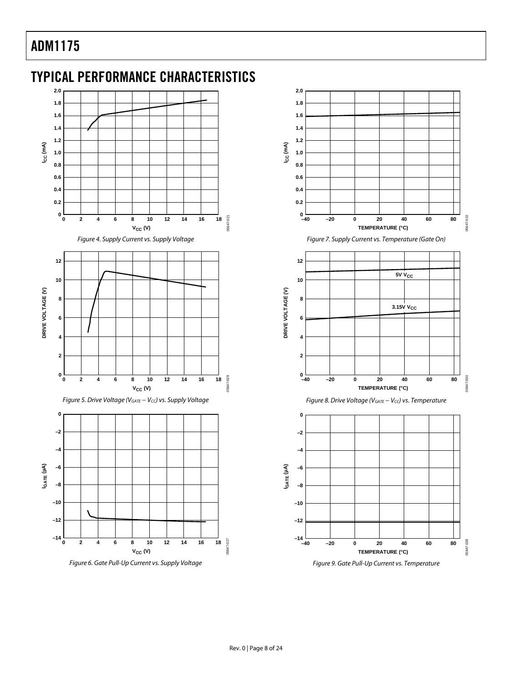<span id="page-7-0"></span>



**2.0**

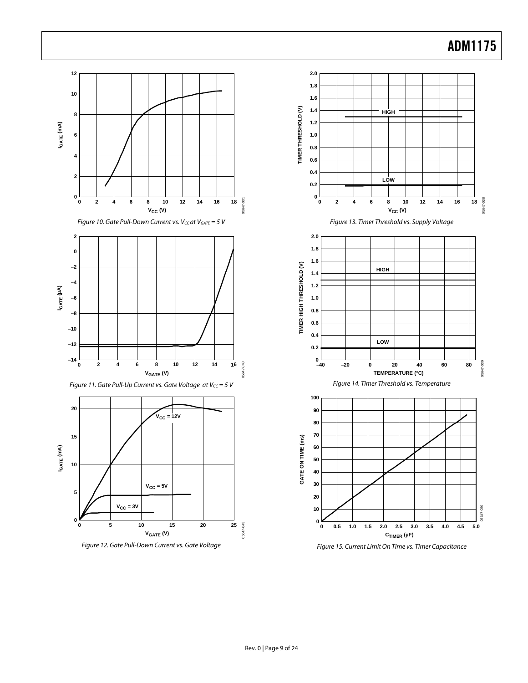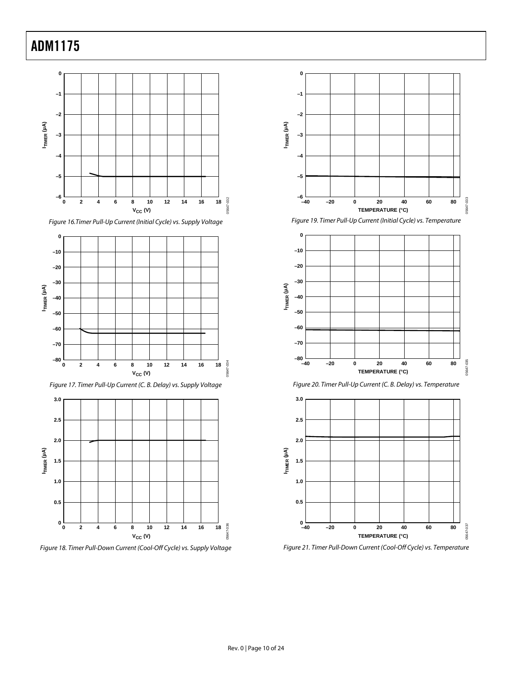

**0 –10 –20 –30**  $I_{TIMER}$  ( $\mu$ A) **ITIMER (µA) –40 –50 –60 –70 –80** 05647-034 05647-034 **0 18 2 4 6 8 10 12 16 14**  $V_{CC}$  (V)

Figure 17. Timer Pull-Up Current (C. B. Delay) vs. Supply Voltage



Figure 18. Timer Pull-Down Current (Cool-Off Cycle) vs. Supply Voltage



Figure 19. Timer Pull-Up Current (Initial Cycle) vs. Temperature







Figure 21. Timer Pull-Down Current (Cool-Off Cycle) vs. Temperature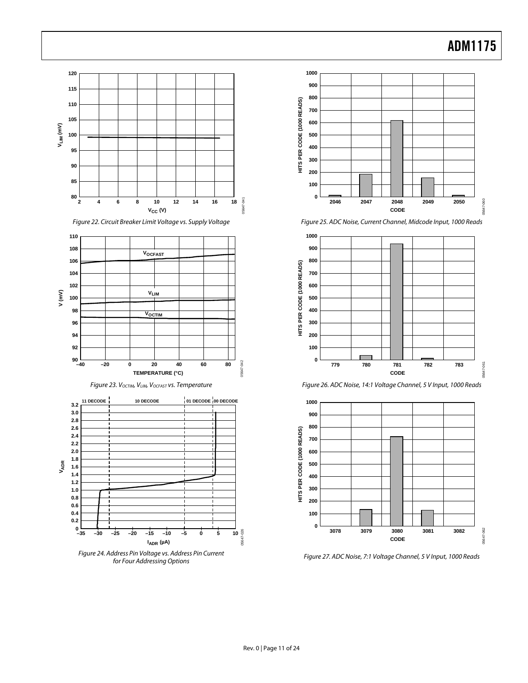















Figure 27. ADC Noise, 7:1 Voltage Channel, 5 V Input, 1000 Reads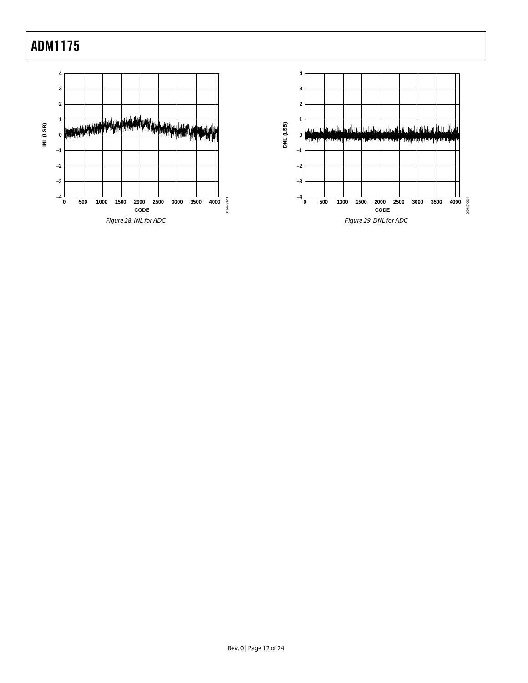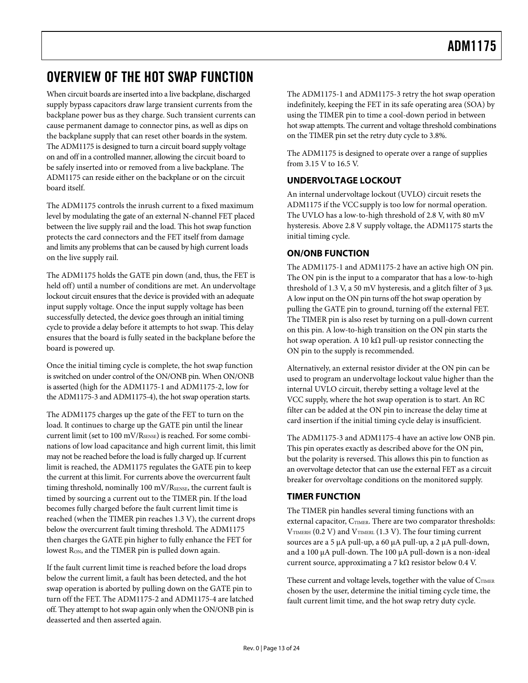# <span id="page-12-0"></span>OVERVIEW OF THE HOT SWAP FUNCTION

When circuit boards are inserted into a live backplane, discharged supply bypass capacitors draw large transient currents from the backplane power bus as they charge. Such transient currents can cause permanent damage to connector pins, as well as dips on the backplane supply that can reset other boards in the system. The ADM1175 is designed to turn a circuit board supply voltage on and off in a controlled manner, allowing the circuit board to be safely inserted into or removed from a live backplane. The ADM1175 can reside either on the backplane or on the circuit board itself.

The ADM1175 controls the inrush current to a fixed maximum level by modulating the gate of an external N-channel FET placed between the live supply rail and the load. This hot swap function protects the card connectors and the FET itself from damage and limits any problems that can be caused by high current loads on the live supply rail.

The ADM1175 holds the GATE pin down (and, thus, the FET is held off) until a number of conditions are met. An undervoltage lockout circuit ensures that the device is provided with an adequate input supply voltage. Once the input supply voltage has been successfully detected, the device goes through an initial timing cycle to provide a delay before it attempts to hot swap. This delay ensures that the board is fully seated in the backplane before the board is powered up.

Once the initial timing cycle is complete, the hot swap function is switched on under control of the ON/ONB pin. When ON/ONB is asserted (high for the ADM1175-1 and ADM1175-2, low for the ADM1175-3 and ADM1175-4), the hot swap operation starts.

The ADM1175 charges up the gate of the FET to turn on the load. It continues to charge up the GATE pin until the linear current limit (set to 100 mV/R<sub>SENSE</sub>) is reached. For some combinations of low load capacitance and high current limit, this limit may not be reached before the load is fully charged up. If current limit is reached, the ADM1175 regulates the GATE pin to keep the current at this limit. For currents above the overcurrent fault timing threshold, nominally 100 mV/ $R_{\text{SENSE}}$ , the current fault is timed by sourcing a current out to the TIMER pin. If the load becomes fully charged before the fault current limit time is reached (when the TIMER pin reaches 1.3 V), the current drops below the overcurrent fault timing threshold. The ADM1175 then charges the GATE pin higher to fully enhance the FET for lowest R<sub>ON</sub>, and the TIMER pin is pulled down again.

If the fault current limit time is reached before the load drops below the current limit, a fault has been detected, and the hot swap operation is aborted by pulling down on the GATE pin to turn off the FET. The ADM1175-2 and ADM1175-4 are latched off. They attempt to hot swap again only when the ON/ONB pin is deasserted and then asserted again.

The ADM1175-1 and ADM1175-3 retry the hot swap operation indefinitely, keeping the FET in its safe operating area (SOA) by using the TIMER pin to time a cool-down period in between hot swap attempts. The current and voltage threshold combinations on the TIMER pin set the retry duty cycle to 3.8%.

The ADM1175 is designed to operate over a range of supplies from 3.15 V to 16.5 V.

### **UNDERVOLTAGE LOCKOUT**

An internal undervoltage lockout (UVLO) circuit resets the ADM1175 if the VCC supply is too low for normal operation. The UVLO has a low-to-high threshold of 2.8 V, with 80 mV hysteresis. Above 2.8 V supply voltage, the ADM1175 starts the initial timing cycle.

### **ON/ONB FUNCTION**

The ADM1175-1 and ADM1175-2 have an active high ON pin. The ON pin is the input to a comparator that has a low-to-high threshold of 1.3 V, a 50 mV hysteresis, and a glitch filter of 3 μs. A low input on the ON pin turns off the hot swap operation by pulling the GATE pin to ground, turning off the external FET. The TIMER pin is also reset by turning on a pull-down current on this pin. A low-to-high transition on the ON pin starts the hot swap operation. A 10 kΩ pull-up resistor connecting the ON pin to the supply is recommended.

Alternatively, an external resistor divider at the ON pin can be used to program an undervoltage lockout value higher than the internal UVLO circuit, thereby setting a voltage level at the VCC supply, where the hot swap operation is to start. An RC filter can be added at the ON pin to increase the delay time at card insertion if the initial timing cycle delay is insufficient.

The ADM1175-3 and ADM1175-4 have an active low ONB pin. This pin operates exactly as described above for the ON pin, but the polarity is reversed. This allows this pin to function as an overvoltage detector that can use the external FET as a circuit breaker for overvoltage conditions on the monitored supply.

### **TIMER FUNCTION**

The TIMER pin handles several timing functions with an external capacitor, C<sub>TIMER</sub>. There are two comparator thresholds:  $V$ TIMERH (0.2 V) and  $V$ TIMERL (1.3 V). The four timing current sources are a 5 μA pull-up, a 60 μA pull-up, a 2 μA pull-down, and a 100 μA pull-down. The 100 μA pull-down is a non-ideal current source, approximating a 7 kΩ resistor below 0.4 V.

These current and voltage levels, together with the value of  $C_{\text{TIMER}}$ chosen by the user, determine the initial timing cycle time, the fault current limit time, and the hot swap retry duty cycle.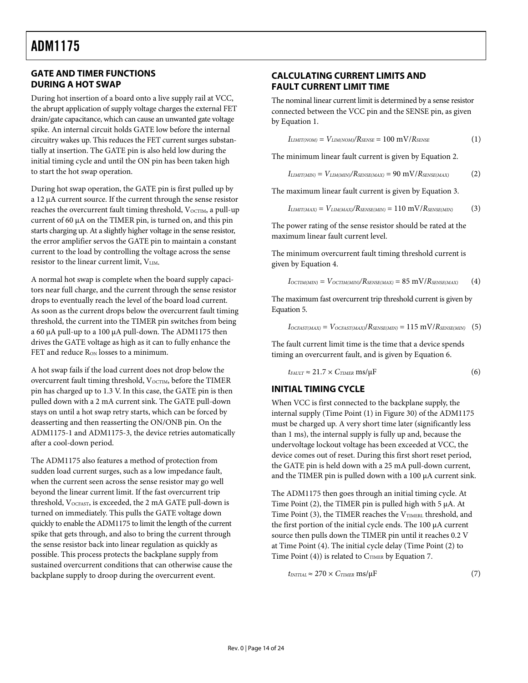### <span id="page-13-0"></span>**GATE AND TIMER FUNCTIONS DURING A HOT SWAP**

During hot insertion of a board onto a live supply rail at VCC, the abrupt application of supply voltage charges the external FET drain/gate capacitance, which can cause an unwanted gate voltage spike. An internal circuit holds GATE low before the internal circuitry wakes up. This reduces the FET current surges substantially at insertion. The GATE pin is also held low during the initial timing cycle and until the ON pin has been taken high to start the hot swap operation.

During hot swap operation, the GATE pin is first pulled up by a 12 μA current source. If the current through the sense resistor reaches the overcurrent fault timing threshold, V<sub>OCTIM</sub>, a pull-up current of 60 μA on the TIMER pin, is turned on, and this pin starts charging up. At a slightly higher voltage in the sense resistor, the error amplifier servos the GATE pin to maintain a constant current to the load by controlling the voltage across the sense resistor to the linear current limit, VLIM.

A normal hot swap is complete when the board supply capacitors near full charge, and the current through the sense resistor drops to eventually reach the level of the board load current. As soon as the current drops below the overcurrent fault timing threshold, the current into the TIMER pin switches from being a 60 μA pull-up to a 100 μA pull-down. The ADM1175 then drives the GATE voltage as high as it can to fully enhance the FET and reduce R<sub>ON</sub> losses to a minimum.

A hot swap fails if the load current does not drop below the overcurrent fault timing threshold, V<sub>OCTIM</sub>, before the TIMER pin has charged up to 1.3 V. In this case, the GATE pin is then pulled down with a 2 mA current sink. The GATE pull-down stays on until a hot swap retry starts, which can be forced by deasserting and then reasserting the ON/ONB pin. On the ADM1175-1 and ADM1175-3, the device retries automatically after a cool-down period.

The ADM1175 also features a method of protection from sudden load current surges, such as a low impedance fault, when the current seen across the sense resistor may go well beyond the linear current limit. If the fast overcurrent trip threshold, VOCFAST, is exceeded, the 2 mA GATE pull-down is turned on immediately. This pulls the GATE voltage down quickly to enable the ADM1175 to limit the length of the current spike that gets through, and also to bring the current through the sense resistor back into linear regulation as quickly as possible. This process protects the backplane supply from sustained overcurrent conditions that can otherwise cause the backplane supply to droop during the overcurrent event.

### **CALCULATING CURRENT LIMITS AND FAULT CURRENT LIMIT TIME**

The nominal linear current limit is determined by a sense resistor connected between the VCC pin and the SENSE pin, as given by Equation 1.

$$
I_{LIMIT(NOM)} = V_{LIM(NOM)}/R_{SENSE} = 100 \text{ mV}/R_{SENSE}
$$
 (1)

The minimum linear fault current is given by Equation 2.

$$
I_{LIMIT(MIN)} = V_{LIM(MIN)}/R_{SENSE(MAX)} = 90 \text{ mV}/R_{SENSE(MAX)} \tag{2}
$$

The maximum linear fault current is given by Equation 3.

$$
I_{LIMIT(MAX)} = V_{LIM(MAX)}/R_{SENSE(MIN)} = 110 \text{ mV}/R_{SENSE(MIN)} \tag{3}
$$

The power rating of the sense resistor should be rated at the maximum linear fault current level.

The minimum overcurrent fault timing threshold current is given by Equation 4.

$$
I_{OCTIM(MIN)} = V_{OCTIM(MIN)}/R_{SENSE(MAX)} = 85 \text{ mV}/R_{SENSE(MAX)} \qquad (4)
$$

The maximum fast overcurrent trip threshold current is given by Equation 5.

$$
I_{OCFAST(MAX)} = V_{OCFAST(MAX)}/R_{SENSE(MIN)} = 115 \text{ mV}/R_{SENSE(MIN)} \quad (5)
$$

The fault current limit time is the time that a device spends timing an overcurrent fault, and is given by Equation 6.

$$
t_{FAULT} \approx 21.7 \times C_{TIMER} \text{ ms/}\mu\text{F}
$$
 (6)

### **INITIAL TIMING CYCLE**

When VCC is first connected to the backplane supply, the internal supply (Time Point (1) in [Figure 30](#page-14-1)) of the ADM1175 must be charged up. A very short time later (significantly less than 1 ms), the internal supply is fully up and, because the undervoltage lockout voltage has been exceeded at VCC, the device comes out of reset. During this first short reset period, the GATE pin is held down with a 25 mA pull-down current, and the TIMER pin is pulled down with a 100 μA current sink.

The ADM1175 then goes through an initial timing cycle. At Time Point (2), the TIMER pin is pulled high with 5 μA. At Time Point (3), the TIMER reaches the  $V_{\text{TIMERL}}$  threshold, and the first portion of the initial cycle ends. The 100 μA current source then pulls down the TIMER pin until it reaches 0.2 V at Time Point (4). The initial cycle delay (Time Point (2) to Time Point  $(4)$ ) is related to  $C_{TIMER}$  by Equation 7.

$$
t_{\text{INITIAL}} \approx 270 \times C_{\text{TIMER}} \text{ ms/}\mu\text{F}
$$
 (7)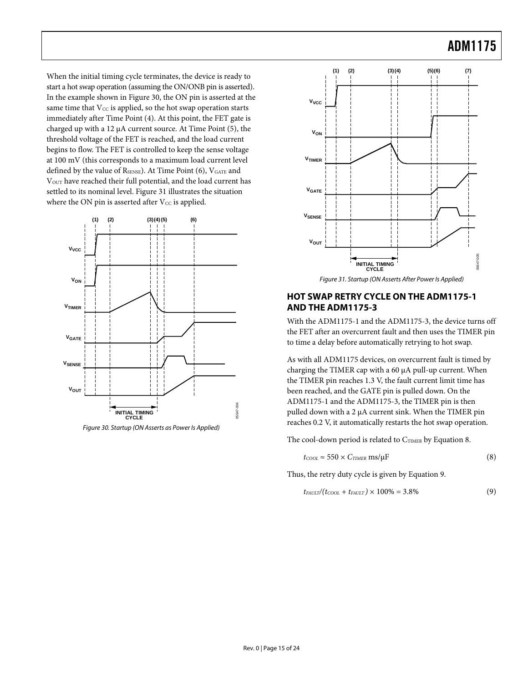<span id="page-14-0"></span>When the initial timing cycle terminates, the device is ready to start a hot swap operation (assuming the ON/ONB pin is asserted). In the example shown in [Figure 30,](#page-14-1) the ON pin is asserted at the same time that  $V_{CC}$  is applied, so the hot swap operation starts immediately after Time Point (4). At this point, the FET gate is charged up with a 12 μA current source. At Time Point (5), the threshold voltage of the FET is reached, and the load current begins to flow. The FET is controlled to keep the sense voltage at 100 mV (this corresponds to a maximum load current level defined by the value of  $R_{\text{SENSE}}$ ). At Time Point (6),  $V_{\text{GATE}}$  and VOUT have reached their full potential, and the load current has settled to its nominal level. [Figure 31](#page-14-2) illustrates the situation where the ON pin is asserted after  $V_{CC}$  is applied.

<span id="page-14-2"></span>

<span id="page-14-1"></span>Figure 30. Startup (ON Asserts as Power Is Applied)

![](_page_14_Figure_4.jpeg)

Figure 31. Startup (ON Asserts After Power Is Applied)

### **HOT SWAP RETRY CYCLE ON THE ADM1175-1 AND THE ADM1175-3**

With the ADM1175-1 and the ADM1175-3, the device turns off the FET after an overcurrent fault and then uses the TIMER pin to time a delay before automatically retrying to hot swap.

As with all ADM1175 devices, on overcurrent fault is timed by charging the TIMER cap with a 60 μA pull-up current. When the TIMER pin reaches 1.3 V, the fault current limit time has been reached, and the GATE pin is pulled down. On the ADM1175-1 and the ADM1175-3, the TIMER pin is then pulled down with a 2 μA current sink. When the TIMER pin reaches 0.2 V, it automatically restarts the hot swap operation.

The cool-down period is related to CTIMER by Equation 8.

$$
t_{\text{cool}} \approx 550 \times C_{\text{TIMER}} \text{ ms/}\mu\text{F}
$$
 (8)

Thus, the retry duty cycle is given by Equation 9.

$$
t_{FAULT}/(t_{COOL} + t_{FAULT}) \times 100\% = 3.8\% \tag{9}
$$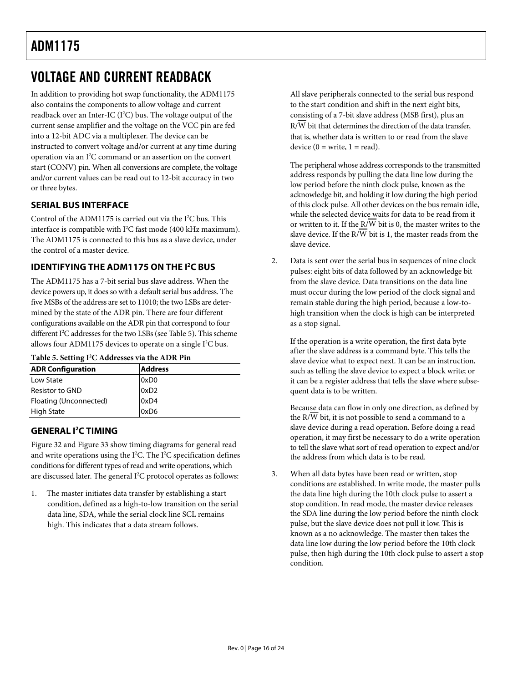# <span id="page-15-0"></span>VOLTAGE AND CURRENT READBACK

In addition to providing hot swap functionality, the ADM1175 also contains the components to allow voltage and current readback over an Inter-IC  $(I<sup>2</sup>C)$  bus. The voltage output of the current sense amplifier and the voltage on the VCC pin are fed into a 12-bit ADC via a multiplexer. The device can be instructed to convert voltage and/or current at any time during operation via an I2 C command or an assertion on the convert start (CONV) pin. When all conversions are complete, the voltage and/or current values can be read out to 12-bit accuracy in two or three bytes.

### **SERIAL BUS INTERFACE**

Control of the ADM1175 is carried out via the I<sup>2</sup>C bus. This interface is compatible with I<sup>2</sup>C fast mode (400 kHz maximum). The ADM1175 is connected to this bus as a slave device, under the control of a master device.

### **IDENTIFYING THE ADM1175 ON THE I<sup>2</sup>C BUS**

The ADM1175 has a 7-bit serial bus slave address. When the device powers up, it does so with a default serial bus address. The five MSBs of the address are set to 11010; the two LSBs are determined by the state of the ADR pin. There are four different configurations available on the ADR pin that correspond to four different I<sup>2</sup>C addresses for the two LSBs (see [Table 5\)](#page-15-1). This scheme allows four ADM1175 devices to operate on a single  $I<sup>2</sup>C$  bus.

#### <span id="page-15-1"></span>**Table 5. Setting I2 C Addresses via the ADR Pin**

| <b>ADR Configuration</b> | <b>Address</b>   |
|--------------------------|------------------|
| Low State                | 0xD <sub>0</sub> |
| Resistor to GND          | 0xD2             |
| Floating (Unconnected)   | 0xD4             |
| <b>High State</b>        | 0xD6             |

### **GENERAL I2 C TIMING**

[Figure 32](#page-16-0) and [Figure 33](#page-16-1) show timing diagrams for general read and write operations using the  $I^2C$ . The  $I^2C$  specification defines conditions for different types of read and write operations, which are discussed later. The general I<sup>2</sup>C protocol operates as follows:

1. The master initiates data transfer by establishing a start condition, defined as a high-to-low transition on the serial data line, SDA, while the serial clock line SCL remains high. This indicates that a data stream follows.

All slave peripherals connected to the serial bus respond to the start condition and shift in the next eight bits, consisting of a 7-bit slave address (MSB first), plus an R/W bit that determines the direction of the data transfer, that is, whether data is written to or read from the slave device  $(0 = \text{write}, 1 = \text{read})$ .

The peripheral whose address corresponds to the transmitted address responds by pulling the data line low during the low period before the ninth clock pulse, known as the acknowledge bit, and holding it low during the high period of this clock pulse. All other devices on the bus remain idle, while the selected device waits for data to be read from it or written to it. If the R/W bit is 0, the master writes to the slave device. If the R/ $\overline{W}$  bit is 1, the master reads from the slave device.

2. Data is sent over the serial bus in sequences of nine clock pulses: eight bits of data followed by an acknowledge bit from the slave device. Data transitions on the data line must occur during the low period of the clock signal and remain stable during the high period, because a low-tohigh transition when the clock is high can be interpreted as a stop signal.

If the operation is a write operation, the first data byte after the slave address is a command byte. This tells the slave device what to expect next. It can be an instruction, such as telling the slave device to expect a block write; or it can be a register address that tells the slave where subsequent data is to be written.

Because data can flow in only one direction, as defined by the R/W bit, it is not possible to send a command to a slave device during a read operation. Before doing a read operation, it may first be necessary to do a write operation to tell the slave what sort of read operation to expect and/or the address from which data is to be read.

3. When all data bytes have been read or written, stop conditions are established. In write mode, the master pulls the data line high during the 10th clock pulse to assert a stop condition. In read mode, the master device releases the SDA line during the low period before the ninth clock pulse, but the slave device does not pull it low. This is known as a no acknowledge. The master then takes the data line low during the low period before the 10th clock pulse, then high during the 10th clock pulse to assert a stop condition.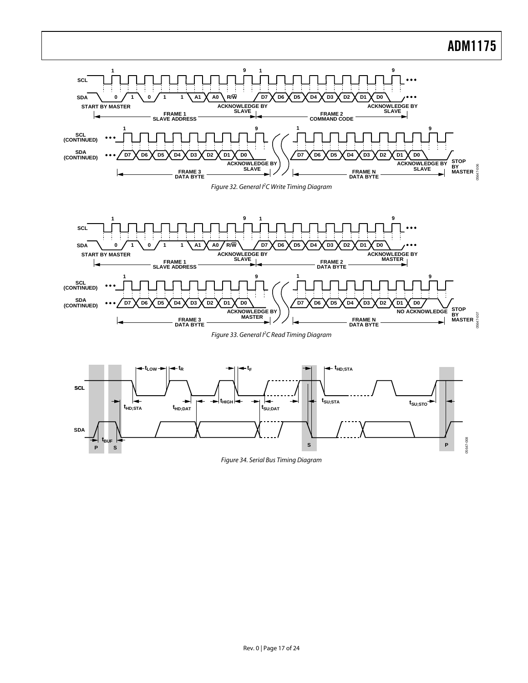<span id="page-16-0"></span>![](_page_16_Figure_1.jpeg)

Figure 34. Serial Bus Timing Diagram

**S P**

<span id="page-16-1"></span>**P S**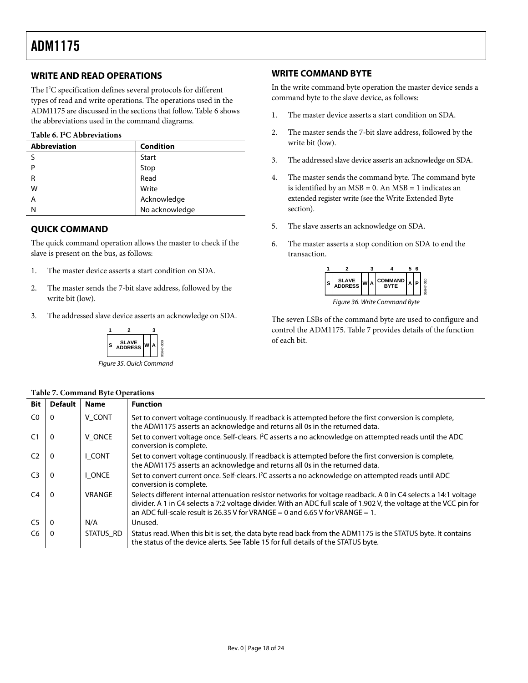### <span id="page-17-3"></span><span id="page-17-0"></span>**WRITE AND READ OPERATIONS**

The I<sup>2</sup>C specification defines several protocols for different types of read and write operations. The operations used in the ADM1175 are discussed in the sections that follow. [Table 6](#page-17-1) shows the abbreviations used in the command diagrams.

#### **Table 6. I2 C Abbreviations**

<span id="page-17-1"></span>

| <b>Abbreviation</b> | <b>Condition</b> |
|---------------------|------------------|
| c                   | <b>Start</b>     |
| P                   |                  |
| R                   | Stop<br>Read     |
| W                   | Write            |
| Α                   | Acknowledge      |
| Ν                   | No acknowledge   |

### **QUICK COMMAND**

The quick command operation allows the master to check if the slave is present on the bus, as follows:

- 1. The master device asserts a start condition on SDA.
- 2. The master sends the 7-bit slave address, followed by the write bit (low).
- 3. The addressed slave device asserts an acknowledge on SDA.

![](_page_17_Figure_10.jpeg)

Figure 35. Quick Command

#### <span id="page-17-2"></span>**Table 7. Command Byte Operations**

### **WRITE COMMAND BYTE**

In the write command byte operation the master device sends a command byte to the slave device, as follows:

- 1. The master device asserts a start condition on SDA.
- 2. The master sends the 7-bit slave address, followed by the write bit (low).
- 3. The addressed slave device asserts an acknowledge on SDA.
- 4. The master sends the command byte. The command byte is identified by an  $MSB = 0$ . An  $MSB = 1$  indicates an extended register write (see the [Write Extended Byte](#page-18-1) section).
- 5. The slave asserts an acknowledge on SDA.
- 6. The master asserts a stop condition on SDA to end the transaction.

![](_page_17_Figure_21.jpeg)

Figure 36. Write Command Byte

The seven LSBs of the command byte are used to configure and control the ADM1175. [Table 7](#page-17-2) provides details of the function of each bit.

| <b>Bit</b>     | <b>Default</b> | <b>Name</b>   | <b>Function</b>                                                                                                                                                                                                                                                                                                         |
|----------------|----------------|---------------|-------------------------------------------------------------------------------------------------------------------------------------------------------------------------------------------------------------------------------------------------------------------------------------------------------------------------|
| CO             | $\Omega$       | V CONT        | Set to convert voltage continuously. If readback is attempted before the first conversion is complete,<br>the ADM1175 asserts an acknowledge and returns all 0s in the returned data.                                                                                                                                   |
| C <sub>1</sub> | $\Omega$       | V ONCE        | Set to convert voltage once. Self-clears. I <sup>2</sup> C asserts a no acknowledge on attempted reads until the ADC<br>conversion is complete.                                                                                                                                                                         |
| C <sub>2</sub> | $\Omega$       | I CONT        | Set to convert voltage continuously. If readback is attempted before the first conversion is complete,<br>the ADM1175 asserts an acknowledge and returns all 0s in the returned data.                                                                                                                                   |
| C <sub>3</sub> | $\Omega$       | I ONCE        | Set to convert current once. Self-clears. I <sup>2</sup> C asserts a no acknowledge on attempted reads until ADC<br>conversion is complete.                                                                                                                                                                             |
| C <sub>4</sub> | $\Omega$       | <b>VRANGE</b> | Selects different internal attenuation resistor networks for voltage readback. A 0 in C4 selects a 14:1 voltage<br>divider. A 1 in C4 selects a 7:2 voltage divider. With an ADC full scale of 1.902 V, the voltage at the VCC pin for<br>an ADC full-scale result is 26.35 V for VRANGE = 0 and 6.65 V for VRANGE = 1. |
| C <sub>5</sub> | $\Omega$       | N/A           | Unused.                                                                                                                                                                                                                                                                                                                 |
| C6             | $\Omega$       | STATUS RD     | Status read. When this bit is set, the data byte read back from the ADM1175 is the STATUS byte. It contains<br>the status of the device alerts. See Table 15 for full details of the STATUS byte.                                                                                                                       |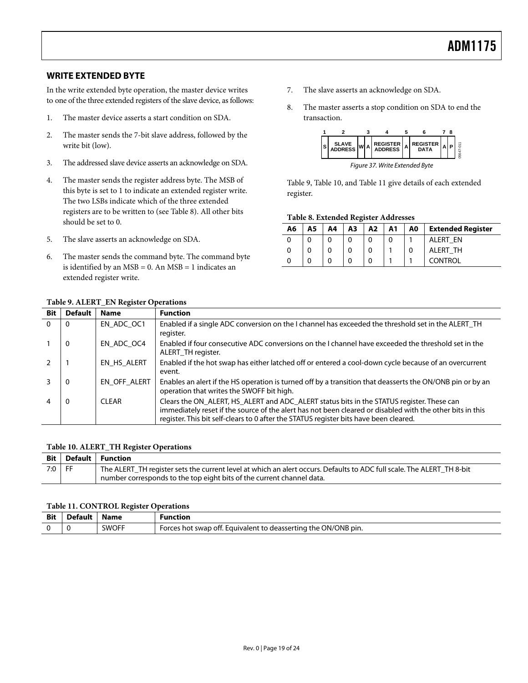### <span id="page-18-1"></span><span id="page-18-0"></span>**WRITE EXTENDED BYTE**

In the write extended byte operation, the master device writes to one of the three extended registers of the slave device, as follows:

- 1. The master device asserts a start condition on SDA.
- 2. The master sends the 7-bit slave address, followed by the write bit (low).
- 3. The addressed slave device asserts an acknowledge on SDA.
- 4. The master sends the register address byte. The MSB of this byte is set to 1 to indicate an extended register write. The two LSBs indicate which of the three extended registers are to be written to (see [Table 8](#page-18-2)). All other bits should be set to 0.
- <span id="page-18-2"></span>5. The slave asserts an acknowledge on SDA.

**Table 9. ALERT\_EN Register Operations** 

6. The master sends the command byte. The command byte is identified by an  $MSB = 0$ . An  $MSB = 1$  indicates an extended register write.

- 7. The slave asserts an acknowledge on SDA.
- 8. The master asserts a stop condition on SDA to end the transaction.

![](_page_18_Figure_11.jpeg)

[Table 9](#page-18-3), [Table 10](#page-18-4), and [Table 11](#page-18-5) give details of each extended register.

#### **Table 8. Extended Register Addresses**

| Α6 | Α5 | A4 | A3 | A2 | A <sub>1</sub> | A0 | <b>Extended Register</b> |
|----|----|----|----|----|----------------|----|--------------------------|
| 0  |    |    |    |    | O              |    | ALERT<br>EN              |
| 0  |    | 0  |    | 0  |                |    | ALERT TH                 |
|    |    | 0  |    | 0  |                |    | CONTROL                  |

<span id="page-18-3"></span>

| <b>Bit</b> | <b>Default</b> | <b>Name</b>  | <b>Function</b>                                                                                                                                                                                                                                                                                 |
|------------|----------------|--------------|-------------------------------------------------------------------------------------------------------------------------------------------------------------------------------------------------------------------------------------------------------------------------------------------------|
| $\Omega$   | 0              | EN ADC OC1   | Enabled if a single ADC conversion on the I channel has exceeded the threshold set in the ALERT_TH<br>register.                                                                                                                                                                                 |
|            | $\Omega$       | EN ADC OC4   | Enabled if four consecutive ADC conversions on the I channel have exceeded the threshold set in the<br>ALERT_TH register.                                                                                                                                                                       |
|            |                | EN HS ALERT  | Enabled if the hot swap has either latched off or entered a cool-down cycle because of an overcurrent<br>event.                                                                                                                                                                                 |
|            | 0              | EN_OFF_ALERT | Enables an alert if the HS operation is turned off by a transition that deasserts the ON/ONB pin or by an<br>operation that writes the SWOFF bit high.                                                                                                                                          |
|            | 0              | CI FAR       | Clears the ON_ALERT, HS_ALERT and ADC_ALERT status bits in the STATUS register. These can<br>immediately reset if the source of the alert has not been cleared or disabled with the other bits in this<br>register. This bit self-clears to 0 after the STATUS register bits have been cleared. |

#### **Table 10. ALERT\_TH Register Operations**

<span id="page-18-4"></span>

|          | Bit   Default   Function                                                                                              |
|----------|-----------------------------------------------------------------------------------------------------------------------|
| $7:0$ FF | The ALERT TH register sets the current level at which an alert occurs. Defaults to ADC full scale. The ALERT TH 8-bit |
|          | number corresponds to the top eight bits of the current channel data.                                                 |

#### **Table 11. CONTROL Register Operations**

<span id="page-18-5"></span>

| <b>Bit</b> | Name         | iunction                                                                          |
|------------|--------------|-----------------------------------------------------------------------------------|
|            |              | .                                                                                 |
|            | <b>SWOFF</b> | ON/ONB pin.<br>. Equivalent to deasserting the (<br>orces<br>' swap off.<br>. not |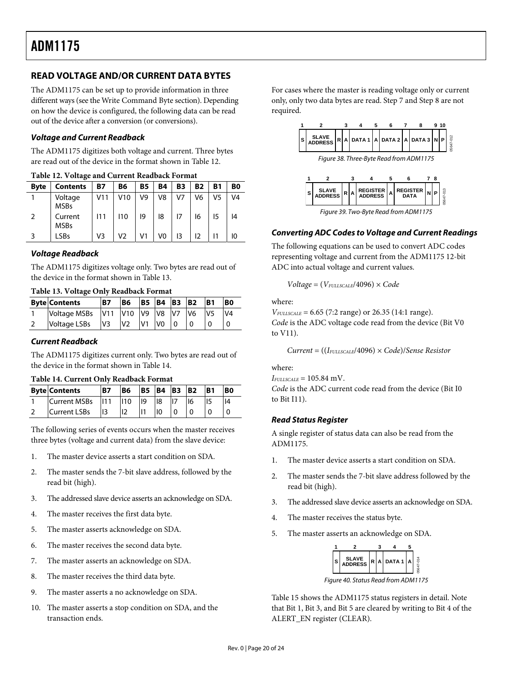### <span id="page-19-0"></span>**READ VOLTAGE AND/OR CURRENT DATA BYTES**

The ADM1175 can be set up to provide information in three different ways (see the [Write Command Byte](#page-17-3) section). Depending on how the device is configured, the following data can be read out of the device after a conversion (or conversions).

#### **Voltage and Current Readback**

The ADM1175 digitizes both voltage and current. Three bytes are read out of the device in the format shown in [Table 12](#page-19-1).

<span id="page-19-1"></span>

| Table 12. Voltage and Current Readback I bringt |                        |     |     |           |    |    |           |    |    |  |
|-------------------------------------------------|------------------------|-----|-----|-----------|----|----|-----------|----|----|--|
| <b>Byte</b>                                     | <b>Contents</b>        | Β7  | В6  | <b>B5</b> | B4 | B3 | <b>B2</b> | B1 | B0 |  |
|                                                 | Voltage<br><b>MSBs</b> | V11 | V10 | V9        | V8 | V7 | V6        | V5 | V4 |  |
| 2                                               | Current<br><b>MSBs</b> |     | 110 | 19        | 18 |    | 16        | 15 | 14 |  |
|                                                 | LSBs                   | V3  | V2  | V1        | V0 | 13 | 12        |    | 10 |  |

### **Voltage Readback**

The ADM1175 digitizes voltage only. Two bytes are read out of the device in the format shown in [Table 13](#page-19-2).

|  |  |  | Table 13. Voltage Only Readback Format |  |
|--|--|--|----------------------------------------|--|
|--|--|--|----------------------------------------|--|

<span id="page-19-2"></span>

| <b>Byte Contents</b> | <b>B7</b>      | <b>B6</b>      | <b>B5</b>       | <b>B4 B3</b>    |                | <b>B2</b>      | IB <sub>1</sub> | B <sub>0</sub> |
|----------------------|----------------|----------------|-----------------|-----------------|----------------|----------------|-----------------|----------------|
| Voltage MSBs         | V11            | V10            | IV <sub>9</sub> | IV <sub>8</sub> | N <sub>7</sub> | V <sub>6</sub> |                 | V <sub>4</sub> |
| Voltage LSBs         | V <sub>3</sub> | V <sub>2</sub> |                 | V0              |                |                |                 |                |

#### **Current Readback**

The ADM1175 digitizes current only. Two bytes are read out of the device in the format shown in [Table 14](#page-19-3).

<span id="page-19-3"></span>

| Table 14. Current Only Readback Format |                                                                                          |                |                                           |  |  |  |            |  |           |  |
|----------------------------------------|------------------------------------------------------------------------------------------|----------------|-------------------------------------------|--|--|--|------------|--|-----------|--|
|                                        | <b>Byte Contents</b>                                                                     | B <sub>7</sub> | $ B6 $ $ B5 $ $ B4 $ $ B3 $ $ B2 $ $ B1 $ |  |  |  |            |  | <b>BO</b> |  |
|                                        | $Current MSBs$ $\parallel$ 11 $\parallel$ 10 $\parallel$ 9 $\parallel$ 18 $\parallel$ 17 |                |                                           |  |  |  | <u>116</u> |  | 4         |  |

| $TT1.$ $C.11.$ $C.$ $C.$                                                   |  |  |   |   |  |
|----------------------------------------------------------------------------|--|--|---|---|--|
| 2 Current LSBs $\begin{vmatrix} 13 & 12 & 11 \end{vmatrix}$ 10 0 0 0 0 0 0 |  |  |   |   |  |
| $\frac{1}{2}$ of $\frac{1}{2}$ is $\frac{1}{2}$ of $\frac{1}{2}$           |  |  | . | . |  |

The following series of events occurs when the master receives three bytes (voltage and current data) from the slave device:

- 1. The master device asserts a start condition on SDA.
- 2. The master sends the 7-bit slave address, followed by the read bit (high).
- 3. The addressed slave device asserts an acknowledge on SDA.
- 4. The master receives the first data byte.
- 5. The master asserts acknowledge on SDA.
- 6. The master receives the second data byte.
- 7. The master asserts an acknowledge on SDA.
- 8. The master receives the third data byte.
- 9. The master asserts a no acknowledge on SDA.
- 10. The master asserts a stop condition on SDA, and the transaction ends.

For cases where the master is reading voltage only or current only, only two data bytes are read. Step 7 and Step 8 are not required.

![](_page_19_Figure_27.jpeg)

Figure 39. Two-Byte Read from ADM1175

### **Converting ADC Codes to Voltage and Current Readings**

The following equations can be used to convert ADC codes representing voltage and current from the ADM1175 12-bit ADC into actual voltage and current values.

*Voltage* = (*VFULLSCALE*/4096) × *Code*

where:

*V<sub>FULLSCALE</sub>* = 6.65 (7:2 range) or 26.35 (14:1 range). *Code* is the ADC voltage code read from the device (Bit V0 to V11).

*Current* = ((*IFULLSCALE*/4096) × *Code*)/*Sense Resistor*

where:

 $I_{FULSCALE} = 105.84$  mV. *Code* is the ADC current code read from the device (Bit I0 to Bit I11).

#### **Read Status Register**

A single register of status data can also be read from the ADM1175.

- 1. The master device asserts a start condition on SDA.
- 2. The master sends the 7-bit slave address followed by the read bit (high).
- 3. The addressed slave device asserts an acknowledge on SDA.
- 4. The master receives the status byte.
- 5. The master asserts an acknowledge on SDA.

![](_page_19_Figure_44.jpeg)

Figure 40. Status Read from ADM1175

[Table 15](#page-20-0) shows the ADM1175 status registers in detail. Note that Bit 1, Bit 3, and Bit 5 are cleared by writing to Bit 4 of the ALERT\_EN register (CLEAR).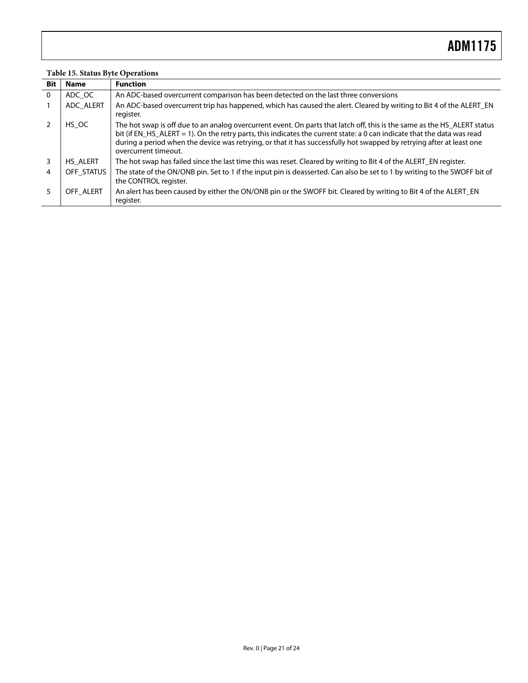### **Table 15. Status Byte Operations**

<span id="page-20-0"></span>

| <b>Bit</b>   | <b>Name</b> | <b>Function</b>                                                                                                                                                                                                                                                                                                                                                                                     |
|--------------|-------------|-----------------------------------------------------------------------------------------------------------------------------------------------------------------------------------------------------------------------------------------------------------------------------------------------------------------------------------------------------------------------------------------------------|
| $\mathbf{0}$ | ADC OC      | An ADC-based overcurrent comparison has been detected on the last three conversions                                                                                                                                                                                                                                                                                                                 |
|              | ADC_ALERT   | An ADC-based overcurrent trip has happened, which has caused the alert. Cleared by writing to Bit 4 of the ALERT_EN<br>register.                                                                                                                                                                                                                                                                    |
|              | HS OC       | The hot swap is off due to an analog overcurrent event. On parts that latch off, this is the same as the HS_ALERT status<br>bit (if EN_HS_ALERT = 1). On the retry parts, this indicates the current state: a 0 can indicate that the data was read<br>during a period when the device was retrying, or that it has successfully hot swapped by retrying after at least one<br>overcurrent timeout. |
| 3            | HS ALERT    | The hot swap has failed since the last time this was reset. Cleared by writing to Bit 4 of the ALERT_EN register.                                                                                                                                                                                                                                                                                   |
| 4            | OFF STATUS  | The state of the ON/ONB pin. Set to 1 if the input pin is deasserted. Can also be set to 1 by writing to the SWOFF bit of<br>the CONTROL register.                                                                                                                                                                                                                                                  |
|              | OFF ALERT   | An alert has been caused by either the ON/ONB pin or the SWOFF bit. Cleared by writing to Bit 4 of the ALERT_EN<br>register.                                                                                                                                                                                                                                                                        |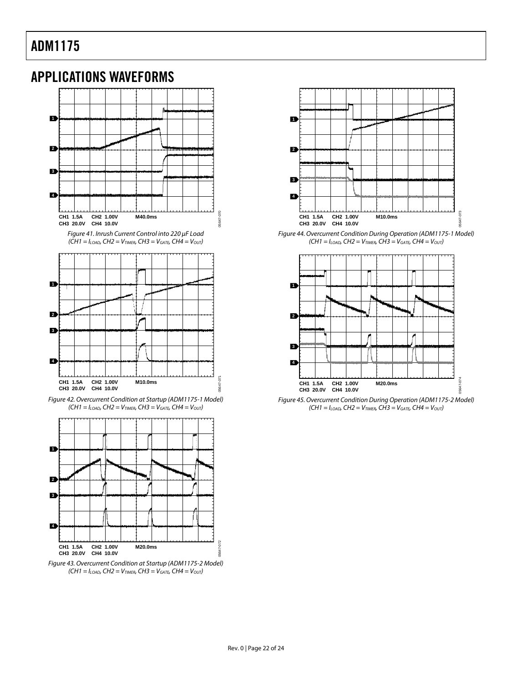### <span id="page-21-0"></span>APPLICATIONS WAVEFORMS

![](_page_21_Figure_2.jpeg)

Figure 41. Inrush Current Control into 220 μF Load  $(CH1 = I<sub>LOAD</sub>, CH2 = V<sub>TIMER</sub>, CH3 = V<sub>GATE</sub>, CH4 = V<sub>OUT</sub>)$  05647-070

![](_page_21_Figure_4.jpeg)

Figure 42. Overcurrent Condition at Startup (ADM1175-1 Model)  $(CH1 = I<sub>LOAD</sub>, CH2 = V<sub>TIMER</sub>, CH3 = V<sub>GATE</sub>, CH4 = V<sub>OUT</sub>)$ 

![](_page_21_Figure_6.jpeg)

![](_page_21_Figure_7.jpeg)

![](_page_21_Figure_8.jpeg)

Figure 44. Overcurrent Condition During Operation (ADM1175-1 Model)  $(CH1 = I_{LOAD}$ ,  $CH2 = V_{TIMER}$ ,  $CH3 = V_{GATE}$ ,  $CH4 = V_{OUT}$ )

![](_page_21_Figure_10.jpeg)

Figure 45. Overcurrent Condition During Operation (ADM1175-2 Model)  $(CH1 = I_{LOAD}$ ,  $CH2 = V_{TIMER}$ ,  $CH3 = V_{GATE}$ ,  $CH4 = V_{OUT}$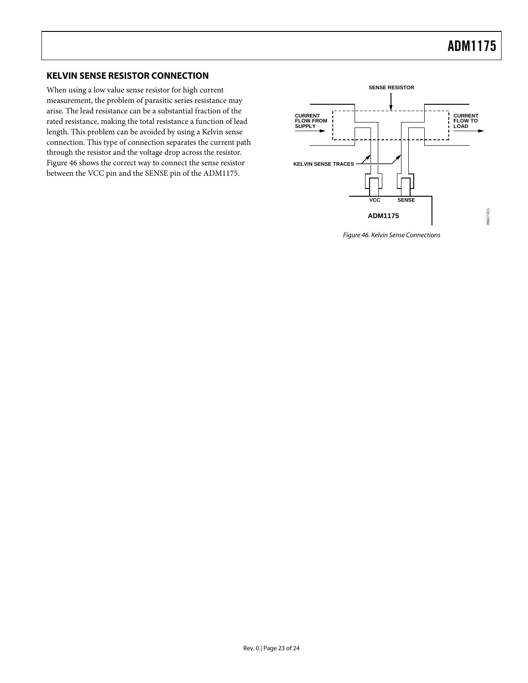### <span id="page-22-0"></span>**KELVIN SENSE RESISTOR CONNECTION**

<span id="page-22-1"></span>When using a low value sense resistor for high current measurement, the problem of parasitic series resistance may arise. The lead resistance can be a substantial fraction of the rated resistance, making the total resistance a function of lead length. This problem can be avoided by using a Kelvin sense connection. This type of connection separates the current path through the resistor and the voltage drop across the resistor. [Figure 46](#page-22-1) shows the correct way to connect the sense resistor between the VCC pin and the SENSE pin of the ADM1175.

![](_page_22_Figure_3.jpeg)

Figure 46. Kelvin Sense Connections